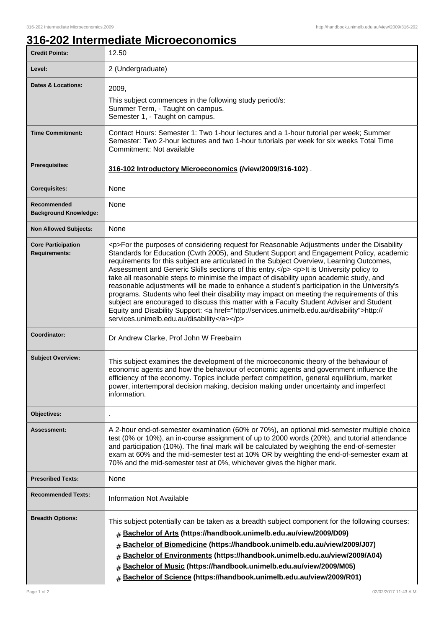## **316-202 Intermediate Microeconomics**

| <b>Credit Points:</b>                             | 12.50                                                                                                                                                                                                                                                                                                                                                                                                                                                                                                                                                                                                                                                                                                                                                                                                                                                                                                                        |
|---------------------------------------------------|------------------------------------------------------------------------------------------------------------------------------------------------------------------------------------------------------------------------------------------------------------------------------------------------------------------------------------------------------------------------------------------------------------------------------------------------------------------------------------------------------------------------------------------------------------------------------------------------------------------------------------------------------------------------------------------------------------------------------------------------------------------------------------------------------------------------------------------------------------------------------------------------------------------------------|
| Level:                                            | 2 (Undergraduate)                                                                                                                                                                                                                                                                                                                                                                                                                                                                                                                                                                                                                                                                                                                                                                                                                                                                                                            |
| <b>Dates &amp; Locations:</b>                     | 2009,<br>This subject commences in the following study period/s:<br>Summer Term, - Taught on campus.<br>Semester 1, - Taught on campus.                                                                                                                                                                                                                                                                                                                                                                                                                                                                                                                                                                                                                                                                                                                                                                                      |
| <b>Time Commitment:</b>                           | Contact Hours: Semester 1: Two 1-hour lectures and a 1-hour tutorial per week; Summer<br>Semester: Two 2-hour lectures and two 1-hour tutorials per week for six weeks Total Time<br>Commitment: Not available                                                                                                                                                                                                                                                                                                                                                                                                                                                                                                                                                                                                                                                                                                               |
| <b>Prerequisites:</b>                             | 316-102 Introductory Microeconomics (/view/2009/316-102).                                                                                                                                                                                                                                                                                                                                                                                                                                                                                                                                                                                                                                                                                                                                                                                                                                                                    |
| <b>Corequisites:</b>                              | None                                                                                                                                                                                                                                                                                                                                                                                                                                                                                                                                                                                                                                                                                                                                                                                                                                                                                                                         |
| Recommended<br><b>Background Knowledge:</b>       | None                                                                                                                                                                                                                                                                                                                                                                                                                                                                                                                                                                                                                                                                                                                                                                                                                                                                                                                         |
| <b>Non Allowed Subjects:</b>                      | None                                                                                                                                                                                                                                                                                                                                                                                                                                                                                                                                                                                                                                                                                                                                                                                                                                                                                                                         |
| <b>Core Participation</b><br><b>Requirements:</b> | <p>For the purposes of considering request for Reasonable Adjustments under the Disability<br/>Standards for Education (Cwth 2005), and Student Support and Engagement Policy, academic<br/>requirements for this subject are articulated in the Subject Overview, Learning Outcomes,<br/>Assessment and Generic Skills sections of this entry.</p> <p>lt is University policy to<br/>take all reasonable steps to minimise the impact of disability upon academic study, and<br/>reasonable adjustments will be made to enhance a student's participation in the University's<br/>programs. Students who feel their disability may impact on meeting the requirements of this<br/>subject are encouraged to discuss this matter with a Faculty Student Adviser and Student<br/>Equity and Disability Support: &lt; a href="http://services.unimelb.edu.au/disability"&gt;http://<br/>services.unimelb.edu.au/disability</p> |
| Coordinator:                                      | Dr Andrew Clarke, Prof John W Freebairn                                                                                                                                                                                                                                                                                                                                                                                                                                                                                                                                                                                                                                                                                                                                                                                                                                                                                      |
| <b>Subject Overview:</b>                          | This subject examines the development of the microeconomic theory of the behaviour of<br>economic agents and how the behaviour of economic agents and government influence the<br>efficiency of the economy. Topics include perfect competition, general equilibrium, market<br>power, intertemporal decision making, decision making under uncertainty and imperfect<br>information.                                                                                                                                                                                                                                                                                                                                                                                                                                                                                                                                        |
| Objectives:                                       |                                                                                                                                                                                                                                                                                                                                                                                                                                                                                                                                                                                                                                                                                                                                                                                                                                                                                                                              |
| Assessment:                                       | A 2-hour end-of-semester examination (60% or 70%), an optional mid-semester multiple choice<br>test (0% or 10%), an in-course assignment of up to 2000 words (20%), and tutorial attendance<br>and participation (10%). The final mark will be calculated by weighting the end-of-semester<br>exam at 60% and the mid-semester test at 10% OR by weighting the end-of-semester exam at<br>70% and the mid-semester test at 0%, whichever gives the higher mark.                                                                                                                                                                                                                                                                                                                                                                                                                                                              |
| <b>Prescribed Texts:</b>                          | None                                                                                                                                                                                                                                                                                                                                                                                                                                                                                                                                                                                                                                                                                                                                                                                                                                                                                                                         |
| <b>Recommended Texts:</b>                         | <b>Information Not Available</b>                                                                                                                                                                                                                                                                                                                                                                                                                                                                                                                                                                                                                                                                                                                                                                                                                                                                                             |
| <b>Breadth Options:</b>                           | This subject potentially can be taken as a breadth subject component for the following courses:<br>Bachelor of Arts (https://handbook.unimelb.edu.au/view/2009/D09)<br>#<br>Bachelor of Biomedicine (https://handbook.unimelb.edu.au/view/2009/J07)<br>#<br>Bachelor of Environments (https://handbook.unimelb.edu.au/view/2009/A04)<br>#<br>Bachelor of Music (https://handbook.unimelb.edu.au/view/2009/M05)<br>#<br>Bachelor of Science (https://handbook.unimelb.edu.au/view/2009/R01)<br>#                                                                                                                                                                                                                                                                                                                                                                                                                              |